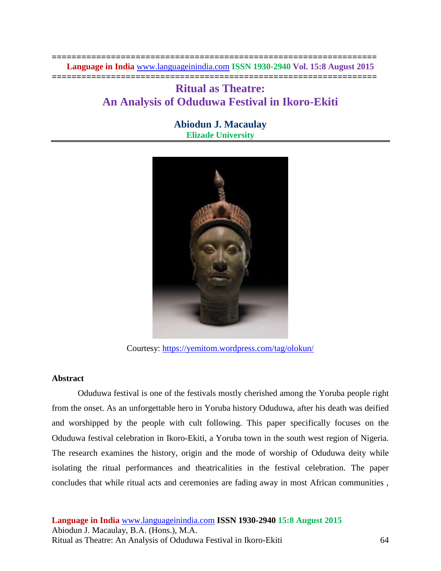**================================================================== Language in India** [www.languageinindia.com](http://www.languageinindia.com/) **ISSN 1930-2940 Vol. 15:8 August 2015 ==================================================================**

# **Ritual as Theatre: An Analysis of Oduduwa Festival in Ikoro-Ekiti**

## **Abiodun J. Macaulay Elizade University**



Courtesy:<https://yemitom.wordpress.com/tag/olokun/>

## **Abstract**

Oduduwa festival is one of the festivals mostly cherished among the Yoruba people right from the onset. As an unforgettable hero in Yoruba history Oduduwa, after his death was deified and worshipped by the people with cult following. This paper specifically focuses on the Oduduwa festival celebration in Ikoro-Ekiti, a Yoruba town in the south west region of Nigeria. The research examines the history, origin and the mode of worship of Oduduwa deity while isolating the ritual performances and theatricalities in the festival celebration. The paper concludes that while ritual acts and ceremonies are fading away in most African communities ,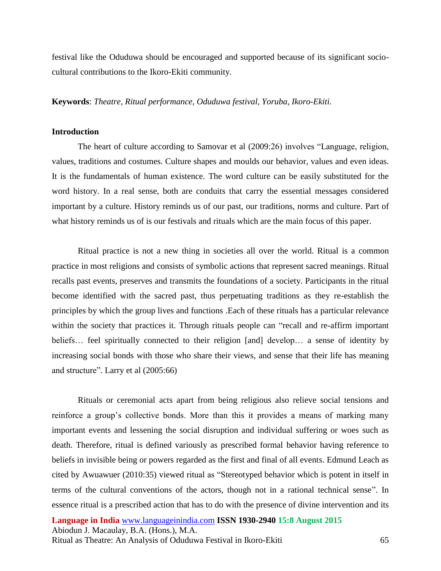festival like the Oduduwa should be encouraged and supported because of its significant sociocultural contributions to the Ikoro-Ekiti community.

**Keywords**: *Theatre, Ritual performance, Oduduwa festival, Yoruba, Ikoro-Ekiti.*

#### **Introduction**

The heart of culture according to Samovar et al (2009:26) involves "Language, religion, values, traditions and costumes. Culture shapes and moulds our behavior, values and even ideas. It is the fundamentals of human existence. The word culture can be easily substituted for the word history. In a real sense, both are conduits that carry the essential messages considered important by a culture. History reminds us of our past, our traditions, norms and culture. Part of what history reminds us of is our festivals and rituals which are the main focus of this paper.

Ritual practice is not a new thing in societies all over the world. Ritual is a common practice in most religions and consists of symbolic actions that represent sacred meanings. Ritual recalls past events, preserves and transmits the foundations of a society. Participants in the ritual become identified with the sacred past, thus perpetuating traditions as they re-establish the principles by which the group lives and functions .Each of these rituals has a particular relevance within the society that practices it. Through rituals people can "recall and re-affirm important beliefs… feel spiritually connected to their religion [and] develop… a sense of identity by increasing social bonds with those who share their views, and sense that their life has meaning and structure". Larry et al (2005:66)

Rituals or ceremonial acts apart from being religious also relieve social tensions and reinforce a group's collective bonds. More than this it provides a means of marking many important events and lessening the social disruption and individual suffering or woes such as death. Therefore, ritual is defined variously as prescribed formal behavior having reference to beliefs in invisible being or powers regarded as the first and final of all events. Edmund Leach as cited by Awuawuer (2010:35) viewed ritual as "Stereotyped behavior which is potent in itself in terms of the cultural conventions of the actors, though not in a rational technical sense". In essence ritual is a prescribed action that has to do with the presence of divine intervention and its

**Language in India** [www.languageinindia.com](http://www.languageinindia.com/) **ISSN 1930-2940 15:8 August 2015** Abiodun J. Macaulay, B.A. (Hons.), M.A. Ritual as Theatre: An Analysis of Oduduwa Festival in Ikoro-Ekiti 65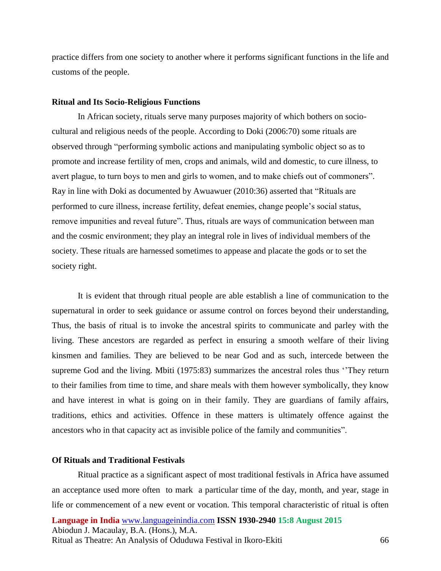practice differs from one society to another where it performs significant functions in the life and customs of the people.

#### **Ritual and Its Socio-Religious Functions**

In African society, rituals serve many purposes majority of which bothers on sociocultural and religious needs of the people. According to Doki (2006:70) some rituals are observed through "performing symbolic actions and manipulating symbolic object so as to promote and increase fertility of men, crops and animals, wild and domestic, to cure illness, to avert plague, to turn boys to men and girls to women, and to make chiefs out of commoners". Ray in line with Doki as documented by Awuawuer (2010:36) asserted that "Rituals are performed to cure illness, increase fertility, defeat enemies, change people's social status, remove impunities and reveal future". Thus, rituals are ways of communication between man and the cosmic environment; they play an integral role in lives of individual members of the society. These rituals are harnessed sometimes to appease and placate the gods or to set the society right.

It is evident that through ritual people are able establish a line of communication to the supernatural in order to seek guidance or assume control on forces beyond their understanding, Thus, the basis of ritual is to invoke the ancestral spirits to communicate and parley with the living. These ancestors are regarded as perfect in ensuring a smooth welfare of their living kinsmen and families. They are believed to be near God and as such, intercede between the supreme God and the living. Mbiti (1975:83) summarizes the ancestral roles thus "They return to their families from time to time, and share meals with them however symbolically, they know and have interest in what is going on in their family. They are guardians of family affairs, traditions, ethics and activities. Offence in these matters is ultimately offence against the ancestors who in that capacity act as invisible police of the family and communities".

### **Of Rituals and Traditional Festivals**

**Language in India** [www.languageinindia.com](http://www.languageinindia.com/) **ISSN 1930-2940 15:8 August 2015** Abiodun J. Macaulay, B.A. (Hons.), M.A. Ritual as Theatre: An Analysis of Oduduwa Festival in Ikoro-Ekiti 66 Ritual practice as a significant aspect of most traditional festivals in Africa have assumed an acceptance used more often to mark a particular time of the day, month, and year, stage in life or commencement of a new event or vocation. This temporal characteristic of ritual is often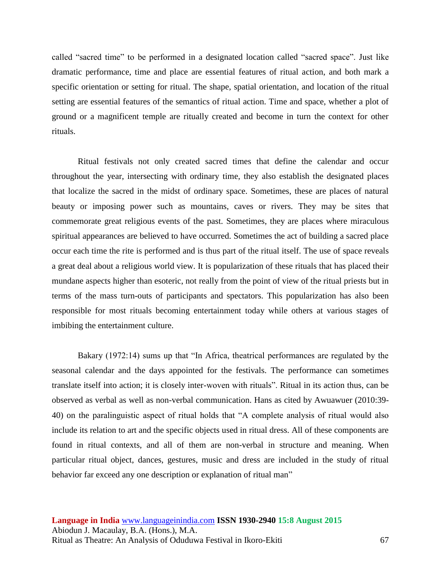called "sacred time" to be performed in a designated location called "sacred space". Just like dramatic performance, time and place are essential features of ritual action, and both mark a specific orientation or setting for ritual. The shape, spatial orientation, and location of the ritual setting are essential features of the semantics of ritual action. Time and space, whether a plot of ground or a magnificent temple are ritually created and become in turn the context for other rituals.

Ritual festivals not only created sacred times that define the calendar and occur throughout the year, intersecting with ordinary time, they also establish the designated places that localize the sacred in the midst of ordinary space. Sometimes, these are places of natural beauty or imposing power such as mountains, caves or rivers. They may be sites that commemorate great religious events of the past. Sometimes, they are places where miraculous spiritual appearances are believed to have occurred. Sometimes the act of building a sacred place occur each time the rite is performed and is thus part of the ritual itself. The use of space reveals a great deal about a religious world view. It is popularization of these rituals that has placed their mundane aspects higher than esoteric, not really from the point of view of the ritual priests but in terms of the mass turn-outs of participants and spectators. This popularization has also been responsible for most rituals becoming entertainment today while others at various stages of imbibing the entertainment culture.

Bakary (1972:14) sums up that "In Africa, theatrical performances are regulated by the seasonal calendar and the days appointed for the festivals. The performance can sometimes translate itself into action; it is closely inter-woven with rituals". Ritual in its action thus, can be observed as verbal as well as non-verbal communication. Hans as cited by Awuawuer (2010:39- 40) on the paralinguistic aspect of ritual holds that "A complete analysis of ritual would also include its relation to art and the specific objects used in ritual dress. All of these components are found in ritual contexts, and all of them are non-verbal in structure and meaning. When particular ritual object, dances, gestures, music and dress are included in the study of ritual behavior far exceed any one description or explanation of ritual man"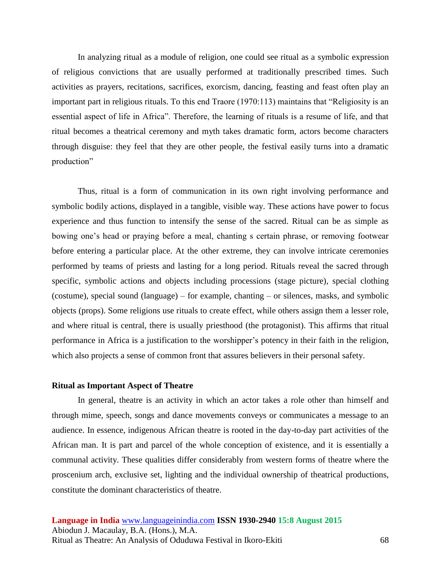In analyzing ritual as a module of religion, one could see ritual as a symbolic expression of religious convictions that are usually performed at traditionally prescribed times. Such activities as prayers, recitations, sacrifices, exorcism, dancing, feasting and feast often play an important part in religious rituals. To this end Traore (1970:113) maintains that "Religiosity is an essential aspect of life in Africa". Therefore, the learning of rituals is a resume of life, and that ritual becomes a theatrical ceremony and myth takes dramatic form, actors become characters through disguise: they feel that they are other people, the festival easily turns into a dramatic production"

Thus, ritual is a form of communication in its own right involving performance and symbolic bodily actions, displayed in a tangible, visible way. These actions have power to focus experience and thus function to intensify the sense of the sacred. Ritual can be as simple as bowing one's head or praying before a meal, chanting s certain phrase, or removing footwear before entering a particular place. At the other extreme, they can involve intricate ceremonies performed by teams of priests and lasting for a long period. Rituals reveal the sacred through specific, symbolic actions and objects including processions (stage picture), special clothing (costume), special sound (language) – for example, chanting – or silences, masks, and symbolic objects (props). Some religions use rituals to create effect, while others assign them a lesser role, and where ritual is central, there is usually priesthood (the protagonist). This affirms that ritual performance in Africa is a justification to the worshipper's potency in their faith in the religion, which also projects a sense of common front that assures believers in their personal safety.

#### **Ritual as Important Aspect of Theatre**

In general, theatre is an activity in which an actor takes a role other than himself and through mime, speech, songs and dance movements conveys or communicates a message to an audience. In essence, indigenous African theatre is rooted in the day-to-day part activities of the African man. It is part and parcel of the whole conception of existence, and it is essentially a communal activity. These qualities differ considerably from western forms of theatre where the proscenium arch, exclusive set, lighting and the individual ownership of theatrical productions, constitute the dominant characteristics of theatre.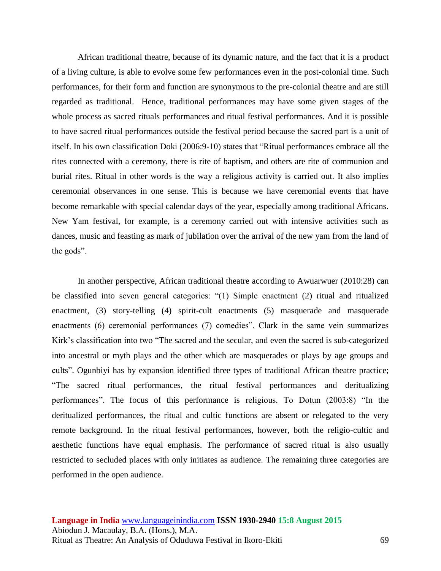African traditional theatre, because of its dynamic nature, and the fact that it is a product of a living culture, is able to evolve some few performances even in the post-colonial time. Such performances, for their form and function are synonymous to the pre-colonial theatre and are still regarded as traditional. Hence, traditional performances may have some given stages of the whole process as sacred rituals performances and ritual festival performances. And it is possible to have sacred ritual performances outside the festival period because the sacred part is a unit of itself. In his own classification Doki (2006:9-10) states that "Ritual performances embrace all the rites connected with a ceremony, there is rite of baptism, and others are rite of communion and burial rites. Ritual in other words is the way a religious activity is carried out. It also implies ceremonial observances in one sense. This is because we have ceremonial events that have become remarkable with special calendar days of the year, especially among traditional Africans. New Yam festival, for example, is a ceremony carried out with intensive activities such as dances, music and feasting as mark of jubilation over the arrival of the new yam from the land of the gods".

In another perspective, African traditional theatre according to Awuarwuer (2010:28) can be classified into seven general categories: "(1) Simple enactment (2) ritual and ritualized enactment, (3) story-telling (4) spirit-cult enactments (5) masquerade and masquerade enactments (6) ceremonial performances (7) comedies". Clark in the same vein summarizes Kirk's classification into two "The sacred and the secular, and even the sacred is sub-categorized into ancestral or myth plays and the other which are masquerades or plays by age groups and cults". Ogunbiyi has by expansion identified three types of traditional African theatre practice; "The sacred ritual performances, the ritual festival performances and deritualizing performances". The focus of this performance is religious. To Dotun (2003:8) "In the deritualized performances, the ritual and cultic functions are absent or relegated to the very remote background. In the ritual festival performances, however, both the religio-cultic and aesthetic functions have equal emphasis. The performance of sacred ritual is also usually restricted to secluded places with only initiates as audience. The remaining three categories are performed in the open audience.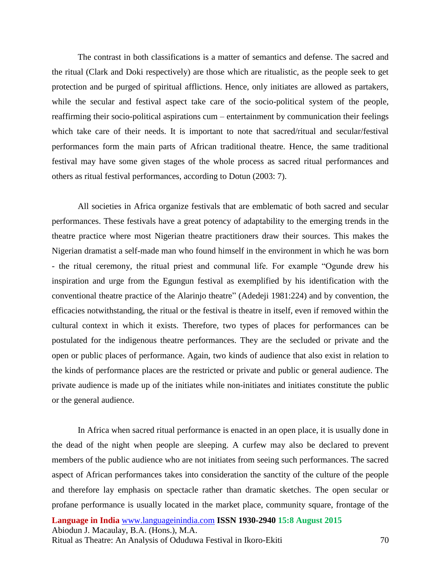The contrast in both classifications is a matter of semantics and defense. The sacred and the ritual (Clark and Doki respectively) are those which are ritualistic, as the people seek to get protection and be purged of spiritual afflictions. Hence, only initiates are allowed as partakers, while the secular and festival aspect take care of the socio-political system of the people, reaffirming their socio-political aspirations cum – entertainment by communication their feelings which take care of their needs. It is important to note that sacred/ritual and secular/festival performances form the main parts of African traditional theatre. Hence, the same traditional festival may have some given stages of the whole process as sacred ritual performances and others as ritual festival performances, according to Dotun (2003: 7).

All societies in Africa organize festivals that are emblematic of both sacred and secular performances. These festivals have a great potency of adaptability to the emerging trends in the theatre practice where most Nigerian theatre practitioners draw their sources. This makes the Nigerian dramatist a self-made man who found himself in the environment in which he was born - the ritual ceremony, the ritual priest and communal life. For example "Ogunde drew his inspiration and urge from the Egungun festival as exemplified by his identification with the conventional theatre practice of the Alarinjo theatre" (Adedeji 1981:224) and by convention, the efficacies notwithstanding, the ritual or the festival is theatre in itself, even if removed within the cultural context in which it exists. Therefore, two types of places for performances can be postulated for the indigenous theatre performances. They are the secluded or private and the open or public places of performance. Again, two kinds of audience that also exist in relation to the kinds of performance places are the restricted or private and public or general audience. The private audience is made up of the initiates while non-initiates and initiates constitute the public or the general audience.

**Language in India** [www.languageinindia.com](http://www.languageinindia.com/) **ISSN 1930-2940 15:8 August 2015** In Africa when sacred ritual performance is enacted in an open place, it is usually done in the dead of the night when people are sleeping. A curfew may also be declared to prevent members of the public audience who are not initiates from seeing such performances. The sacred aspect of African performances takes into consideration the sanctity of the culture of the people and therefore lay emphasis on spectacle rather than dramatic sketches. The open secular or profane performance is usually located in the market place, community square, frontage of the

Abiodun J. Macaulay, B.A. (Hons.), M.A.

Ritual as Theatre: An Analysis of Oduduwa Festival in Ikoro-Ekiti 70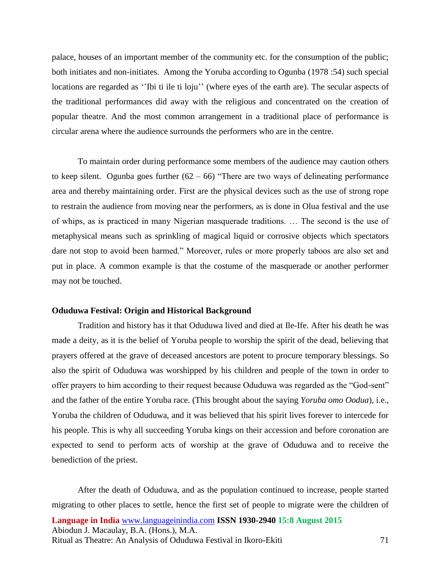palace, houses of an important member of the community etc. for the consumption of the public; both initiates and non-initiates. Among the Yoruba according to Ogunba (1978 :54) such special locations are regarded as "Ibi ti ile ti loju" (where eyes of the earth are). The secular aspects of the traditional performances did away with the religious and concentrated on the creation of popular theatre. And the most common arrangement in a traditional place of performance is circular arena where the audience surrounds the performers who are in the centre.

To maintain order during performance some members of the audience may caution others to keep silent. Ogunba goes further  $(62 - 66)$  "There are two ways of delineating performance area and thereby maintaining order. First are the physical devices such as the use of strong rope to restrain the audience from moving near the performers, as is done in Olua festival and the use of whips, as is practiced in many Nigerian masquerade traditions. … The second is the use of metaphysical means such as sprinkling of magical liquid or corrosive objects which spectators dare not stop to avoid been harmed." Moreover, rules or more properly taboos are also set and put in place. A common example is that the costume of the masquerade or another performer may not be touched.

#### **Oduduwa Festival: Origin and Historical Background**

Tradition and history has it that Oduduwa lived and died at Ile-Ife. After his death he was made a deity, as it is the belief of Yoruba people to worship the spirit of the dead, believing that prayers offered at the grave of deceased ancestors are potent to procure temporary blessings. So also the spirit of Oduduwa was worshipped by his children and people of the town in order to offer prayers to him according to their request because Oduduwa was regarded as the "God-sent" and the father of the entire Yoruba race. (This brought about the saying *Yoruba omo Oodua*), i.e., Yoruba the children of Oduduwa, and it was believed that his spirit lives forever to intercede for his people. This is why all succeeding Yoruba kings on their accession and before coronation are expected to send to perform acts of worship at the grave of Oduduwa and to receive the benediction of the priest.

**Language in India** [www.languageinindia.com](http://www.languageinindia.com/) **ISSN 1930-2940 15:8 August 2015** Abiodun J. Macaulay, B.A. (Hons.), M.A. Ritual as Theatre: An Analysis of Oduduwa Festival in Ikoro-Ekiti 71 After the death of Oduduwa, and as the population continued to increase, people started migrating to other places to settle, hence the first set of people to migrate were the children of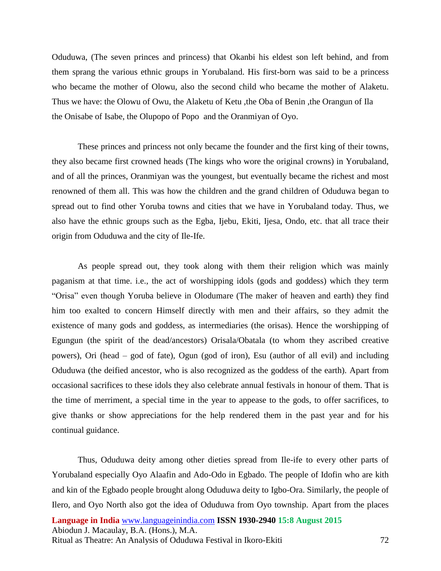Oduduwa, (The seven princes and princess) that Okanbi his eldest son left behind, and from them sprang the various ethnic groups in Yorubaland. His first-born was said to be a princess who became the mother of Olowu, also the second child who became the mother of Alaketu. Thus we have: the Olowu of Owu, the Alaketu of Ketu ,the Oba of Benin ,the Orangun of Ila the Onisabe of Isabe, the Olupopo of Popo and the Oranmiyan of Oyo.

These princes and princess not only became the founder and the first king of their towns, they also became first crowned heads (The kings who wore the original crowns) in Yorubaland, and of all the princes, Oranmiyan was the youngest, but eventually became the richest and most renowned of them all. This was how the children and the grand children of Oduduwa began to spread out to find other Yoruba towns and cities that we have in Yorubaland today. Thus, we also have the ethnic groups such as the Egba, Ijebu, Ekiti, Ijesa, Ondo, etc. that all trace their origin from Oduduwa and the city of Ile-Ife.

As people spread out, they took along with them their religion which was mainly paganism at that time. i.e., the act of worshipping idols (gods and goddess) which they term "Orisa" even though Yoruba believe in Olodumare (The maker of heaven and earth) they find him too exalted to concern Himself directly with men and their affairs, so they admit the existence of many gods and goddess, as intermediaries (the orisas). Hence the worshipping of Egungun (the spirit of the dead/ancestors) Orisala/Obatala (to whom they ascribed creative powers), Ori (head – god of fate), Ogun (god of iron), Esu (author of all evil) and including Oduduwa (the deified ancestor, who is also recognized as the goddess of the earth). Apart from occasional sacrifices to these idols they also celebrate annual festivals in honour of them. That is the time of merriment, a special time in the year to appease to the gods, to offer sacrifices, to give thanks or show appreciations for the help rendered them in the past year and for his continual guidance.

**Language in India** [www.languageinindia.com](http://www.languageinindia.com/) **ISSN 1930-2940 15:8 August 2015** Abiodun J. Macaulay, B.A. (Hons.), M.A. Ritual as Theatre: An Analysis of Oduduwa Festival in Ikoro-Ekiti 72 Thus, Oduduwa deity among other dieties spread from Ile-ife to every other parts of Yorubaland especially Oyo Alaafin and Ado-Odo in Egbado. The people of Idofin who are kith and kin of the Egbado people brought along Oduduwa deity to Igbo-Ora. Similarly, the people of Ilero, and Oyo North also got the idea of Oduduwa from Oyo township. Apart from the places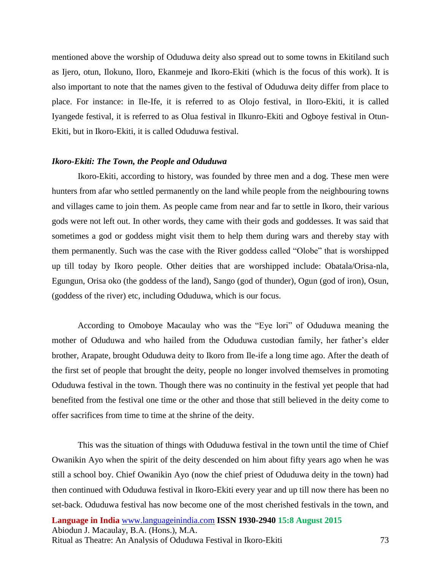mentioned above the worship of Oduduwa deity also spread out to some towns in Ekitiland such as Ijero, otun, Ilokuno, Iloro, Ekanmeje and Ikoro-Ekiti (which is the focus of this work). It is also important to note that the names given to the festival of Oduduwa deity differ from place to place. For instance: in Ile-Ife, it is referred to as Olojo festival, in Iloro-Ekiti, it is called Iyangede festival, it is referred to as Olua festival in Ilkunro-Ekiti and Ogboye festival in Otun-Ekiti, but in Ikoro-Ekiti, it is called Oduduwa festival.

### *Ikoro-Ekiti: The Town, the People and Oduduwa*

Ikoro-Ekiti, according to history, was founded by three men and a dog. These men were hunters from afar who settled permanently on the land while people from the neighbouring towns and villages came to join them. As people came from near and far to settle in Ikoro, their various gods were not left out. In other words, they came with their gods and goddesses. It was said that sometimes a god or goddess might visit them to help them during wars and thereby stay with them permanently. Such was the case with the River goddess called "Olobe" that is worshipped up till today by Ikoro people. Other deities that are worshipped include: Obatala/Orisa-nla, Egungun, Orisa oko (the goddess of the land), Sango (god of thunder), Ogun (god of iron), Osun, (goddess of the river) etc, including Oduduwa, which is our focus.

According to Omoboye Macaulay who was the "Eye lori" of Oduduwa meaning the mother of Oduduwa and who hailed from the Oduduwa custodian family, her father's elder brother, Arapate, brought Oduduwa deity to Ikoro from Ile-ife a long time ago. After the death of the first set of people that brought the deity, people no longer involved themselves in promoting Oduduwa festival in the town. Though there was no continuity in the festival yet people that had benefited from the festival one time or the other and those that still believed in the deity come to offer sacrifices from time to time at the shrine of the deity.

This was the situation of things with Oduduwa festival in the town until the time of Chief Owanikin Ayo when the spirit of the deity descended on him about fifty years ago when he was still a school boy. Chief Owanikin Ayo (now the chief priest of Oduduwa deity in the town) had then continued with Oduduwa festival in Ikoro-Ekiti every year and up till now there has been no set-back. Oduduwa festival has now become one of the most cherished festivals in the town, and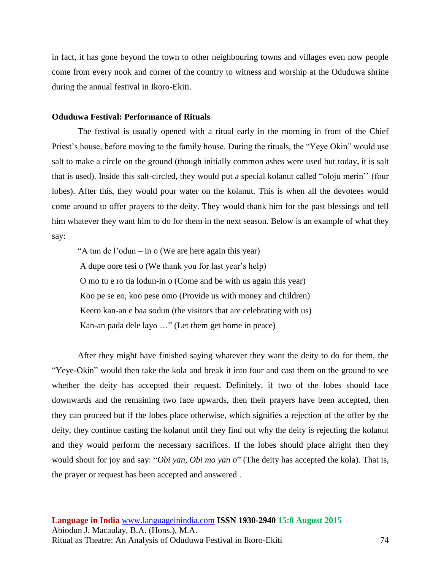in fact, it has gone beyond the town to other neighbouring towns and villages even now people come from every nook and corner of the country to witness and worship at the Oduduwa shrine during the annual festival in Ikoro-Ekiti.

#### **Oduduwa Festival: Performance of Rituals**

The festival is usually opened with a ritual early in the morning in front of the Chief Priest's house, before moving to the family house. During the rituals, the "Yeye Okin" would use salt to make a circle on the ground (though initially common ashes were used but today, it is salt that is used). Inside this salt-circled, they would put a special kolanut called "oloju merin'' (four lobes). After this, they would pour water on the kolanut. This is when all the devotees would come around to offer prayers to the deity. They would thank him for the past blessings and tell him whatever they want him to do for them in the next season. Below is an example of what they say:

"A tun de l'odun – in o (We are here again this year) A dupe oore tesi o (We thank you for last year's help) O mo tu e ro tia lodun-in o (Come and be with us again this year) Koo pe se eo, koo pese omo (Provide us with money and children) Keero kan-an e baa sodun (the visitors that are celebrating with us) Kan-an pada dele layo …" (Let them get home in peace)

After they might have finished saying whatever they want the deity to do for them, the "Yeye-Okin" would then take the kola and break it into four and cast them on the ground to see whether the deity has accepted their request. Definitely, if two of the lobes should face downwards and the remaining two face upwards, then their prayers have been accepted, then they can proceed but if the lobes place otherwise, which signifies a rejection of the offer by the deity, they continue casting the kolanut until they find out why the deity is rejecting the kolanut and they would perform the necessary sacrifices. If the lobes should place alright then they would shout for joy and say: "*Obi yan, Obi mo yan o*" (The deity has accepted the kola). That is, the prayer or request has been accepted and answered .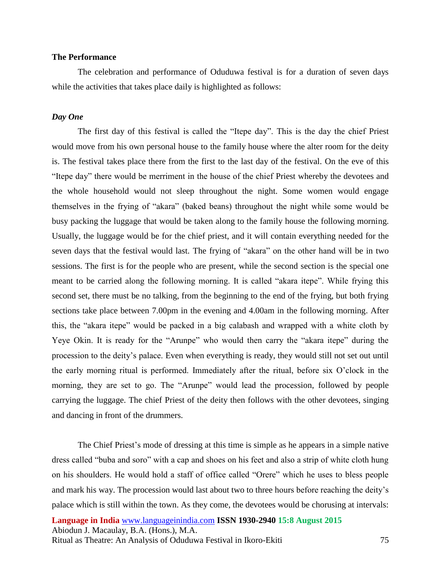#### **The Performance**

The celebration and performance of Oduduwa festival is for a duration of seven days while the activities that takes place daily is highlighted as follows:

#### *Day One*

The first day of this festival is called the "Itepe day". This is the day the chief Priest would move from his own personal house to the family house where the alter room for the deity is. The festival takes place there from the first to the last day of the festival. On the eve of this "Itepe day" there would be merriment in the house of the chief Priest whereby the devotees and the whole household would not sleep throughout the night. Some women would engage themselves in the frying of "akara" (baked beans) throughout the night while some would be busy packing the luggage that would be taken along to the family house the following morning. Usually, the luggage would be for the chief priest, and it will contain everything needed for the seven days that the festival would last. The frying of "akara" on the other hand will be in two sessions. The first is for the people who are present, while the second section is the special one meant to be carried along the following morning. It is called "akara itepe". While frying this second set, there must be no talking, from the beginning to the end of the frying, but both frying sections take place between 7.00pm in the evening and 4.00am in the following morning. After this, the "akara itepe" would be packed in a big calabash and wrapped with a white cloth by Yeye Okin. It is ready for the "Arunpe" who would then carry the "akara itepe" during the procession to the deity's palace. Even when everything is ready, they would still not set out until the early morning ritual is performed. Immediately after the ritual, before six O'clock in the morning, they are set to go. The "Arunpe" would lead the procession, followed by people carrying the luggage. The chief Priest of the deity then follows with the other devotees, singing and dancing in front of the drummers.

The Chief Priest's mode of dressing at this time is simple as he appears in a simple native dress called "buba and soro" with a cap and shoes on his feet and also a strip of white cloth hung on his shoulders. He would hold a staff of office called "Orere" which he uses to bless people and mark his way. The procession would last about two to three hours before reaching the deity's palace which is still within the town. As they come, the devotees would be chorusing at intervals: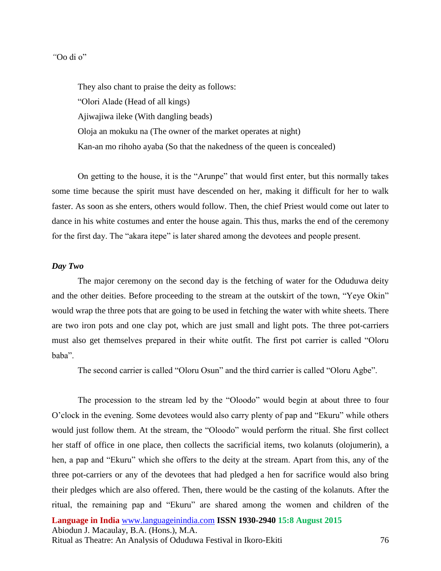#### *"*Oo di o"

They also chant to praise the deity as follows: "Olori Alade (Head of all kings) Ajiwajiwa ileke (With dangling beads) Oloja an mokuku na (The owner of the market operates at night) Kan-an mo rihoho ayaba (So that the nakedness of the queen is concealed)

On getting to the house, it is the "Arunpe" that would first enter, but this normally takes some time because the spirit must have descended on her, making it difficult for her to walk faster. As soon as she enters, others would follow. Then, the chief Priest would come out later to dance in his white costumes and enter the house again. This thus, marks the end of the ceremony for the first day. The "akara itepe" is later shared among the devotees and people present.

#### *Day Two*

The major ceremony on the second day is the fetching of water for the Oduduwa deity and the other deities. Before proceeding to the stream at the outskirt of the town, "Yeye Okin" would wrap the three pots that are going to be used in fetching the water with white sheets. There are two iron pots and one clay pot, which are just small and light pots. The three pot-carriers must also get themselves prepared in their white outfit. The first pot carrier is called "Oloru baba".

The second carrier is called "Oloru Osun" and the third carrier is called "Oloru Agbe".

**Language in India** [www.languageinindia.com](http://www.languageinindia.com/) **ISSN 1930-2940 15:8 August 2015** The procession to the stream led by the "Oloodo" would begin at about three to four O'clock in the evening. Some devotees would also carry plenty of pap and "Ekuru" while others would just follow them. At the stream, the "Oloodo" would perform the ritual. She first collect her staff of office in one place, then collects the sacrificial items, two kolanuts (olojumerin), a hen, a pap and "Ekuru" which she offers to the deity at the stream. Apart from this, any of the three pot-carriers or any of the devotees that had pledged a hen for sacrifice would also bring their pledges which are also offered. Then, there would be the casting of the kolanuts. After the ritual, the remaining pap and "Ekuru" are shared among the women and children of the

Abiodun J. Macaulay, B.A. (Hons.), M.A.

Ritual as Theatre: An Analysis of Oduduwa Festival in Ikoro-Ekiti 76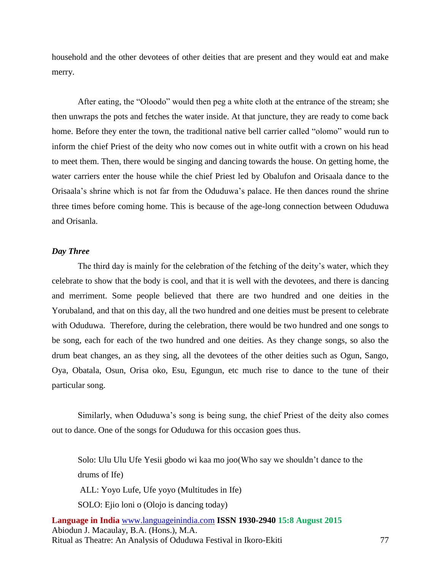household and the other devotees of other deities that are present and they would eat and make merry.

After eating, the "Oloodo" would then peg a white cloth at the entrance of the stream; she then unwraps the pots and fetches the water inside. At that juncture, they are ready to come back home. Before they enter the town, the traditional native bell carrier called "olomo" would run to inform the chief Priest of the deity who now comes out in white outfit with a crown on his head to meet them. Then, there would be singing and dancing towards the house. On getting home, the water carriers enter the house while the chief Priest led by Obalufon and Orisaala dance to the Orisaala's shrine which is not far from the Oduduwa's palace. He then dances round the shrine three times before coming home. This is because of the age-long connection between Oduduwa and Orisanla.

#### *Day Three*

The third day is mainly for the celebration of the fetching of the deity's water, which they celebrate to show that the body is cool, and that it is well with the devotees, and there is dancing and merriment. Some people believed that there are two hundred and one deities in the Yorubaland, and that on this day, all the two hundred and one deities must be present to celebrate with Oduduwa. Therefore, during the celebration, there would be two hundred and one songs to be song, each for each of the two hundred and one deities. As they change songs, so also the drum beat changes, an as they sing, all the devotees of the other deities such as Ogun, Sango, Oya, Obatala, Osun, Orisa oko, Esu, Egungun, etc much rise to dance to the tune of their particular song.

Similarly, when Oduduwa's song is being sung, the chief Priest of the deity also comes out to dance. One of the songs for Oduduwa for this occasion goes thus.

Solo: Ulu Ulu Ufe Yesii gbodo wi kaa mo joo(Who say we shouldn't dance to the drums of Ife) ALL: Yoyo Lufe, Ufe yoyo (Multitudes in Ife)

SOLO: Ejio loni o (Olojo is dancing today)

**Language in India** [www.languageinindia.com](http://www.languageinindia.com/) **ISSN 1930-2940 15:8 August 2015** Abiodun J. Macaulay, B.A. (Hons.), M.A. Ritual as Theatre: An Analysis of Oduduwa Festival in Ikoro-Ekiti 77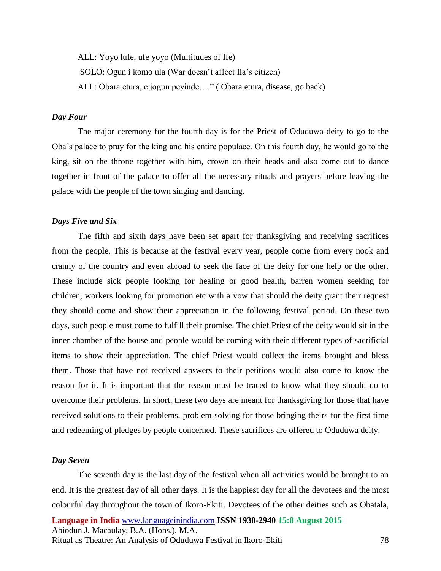ALL: Yoyo lufe, ufe yoyo (Multitudes of Ife) SOLO: Ogun i komo ula (War doesn't affect Ila's citizen) ALL: Obara etura, e jogun peyinde…." ( Obara etura, disease, go back)

#### *Day Four*

The major ceremony for the fourth day is for the Priest of Oduduwa deity to go to the Oba's palace to pray for the king and his entire populace. On this fourth day, he would go to the king, sit on the throne together with him, crown on their heads and also come out to dance together in front of the palace to offer all the necessary rituals and prayers before leaving the palace with the people of the town singing and dancing.

#### *Days Five and Six*

The fifth and sixth days have been set apart for thanksgiving and receiving sacrifices from the people. This is because at the festival every year, people come from every nook and cranny of the country and even abroad to seek the face of the deity for one help or the other. These include sick people looking for healing or good health, barren women seeking for children, workers looking for promotion etc with a vow that should the deity grant their request they should come and show their appreciation in the following festival period. On these two days, such people must come to fulfill their promise. The chief Priest of the deity would sit in the inner chamber of the house and people would be coming with their different types of sacrificial items to show their appreciation. The chief Priest would collect the items brought and bless them. Those that have not received answers to their petitions would also come to know the reason for it. It is important that the reason must be traced to know what they should do to overcome their problems. In short, these two days are meant for thanksgiving for those that have received solutions to their problems, problem solving for those bringing theirs for the first time and redeeming of pledges by people concerned. These sacrifices are offered to Oduduwa deity.

#### *Day Seven*

The seventh day is the last day of the festival when all activities would be brought to an end. It is the greatest day of all other days. It is the happiest day for all the devotees and the most colourful day throughout the town of Ikoro-Ekiti. Devotees of the other deities such as Obatala,

**Language in India** [www.languageinindia.com](http://www.languageinindia.com/) **ISSN 1930-2940 15:8 August 2015** Abiodun J. Macaulay, B.A. (Hons.), M.A. Ritual as Theatre: An Analysis of Oduduwa Festival in Ikoro-Ekiti 78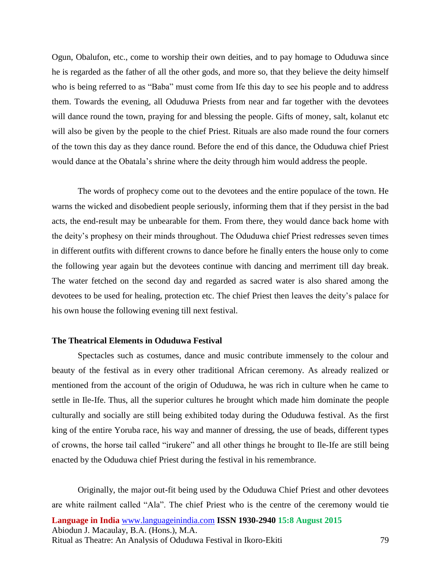Ogun, Obalufon, etc., come to worship their own deities, and to pay homage to Oduduwa since he is regarded as the father of all the other gods, and more so, that they believe the deity himself who is being referred to as "Baba" must come from Ife this day to see his people and to address them. Towards the evening, all Oduduwa Priests from near and far together with the devotees will dance round the town, praying for and blessing the people. Gifts of money, salt, kolanut etc will also be given by the people to the chief Priest. Rituals are also made round the four corners of the town this day as they dance round. Before the end of this dance, the Oduduwa chief Priest would dance at the Obatala's shrine where the deity through him would address the people.

The words of prophecy come out to the devotees and the entire populace of the town. He warns the wicked and disobedient people seriously, informing them that if they persist in the bad acts, the end-result may be unbearable for them. From there, they would dance back home with the deity's prophesy on their minds throughout. The Oduduwa chief Priest redresses seven times in different outfits with different crowns to dance before he finally enters the house only to come the following year again but the devotees continue with dancing and merriment till day break. The water fetched on the second day and regarded as sacred water is also shared among the devotees to be used for healing, protection etc. The chief Priest then leaves the deity's palace for his own house the following evening till next festival.

#### **The Theatrical Elements in Oduduwa Festival**

Spectacles such as costumes, dance and music contribute immensely to the colour and beauty of the festival as in every other traditional African ceremony. As already realized or mentioned from the account of the origin of Oduduwa, he was rich in culture when he came to settle in Ile-Ife. Thus, all the superior cultures he brought which made him dominate the people culturally and socially are still being exhibited today during the Oduduwa festival. As the first king of the entire Yoruba race, his way and manner of dressing, the use of beads, different types of crowns, the horse tail called "irukere" and all other things he brought to Ile-Ife are still being enacted by the Oduduwa chief Priest during the festival in his remembrance.

**Language in India** [www.languageinindia.com](http://www.languageinindia.com/) **ISSN 1930-2940 15:8 August 2015** Abiodun J. Macaulay, B.A. (Hons.), M.A. Ritual as Theatre: An Analysis of Oduduwa Festival in Ikoro-Ekiti 79 Originally, the major out-fit being used by the Oduduwa Chief Priest and other devotees are white railment called "Ala". The chief Priest who is the centre of the ceremony would tie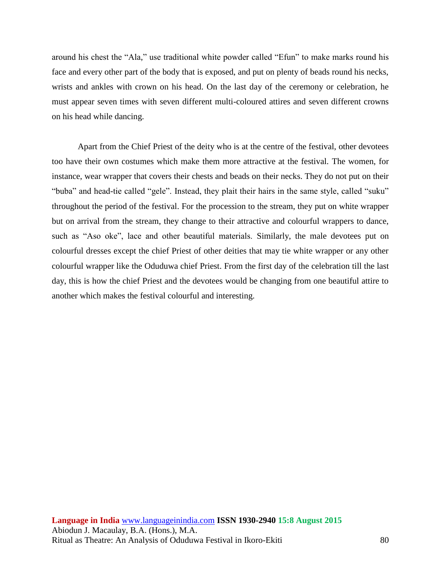around his chest the "Ala," use traditional white powder called "Efun" to make marks round his face and every other part of the body that is exposed, and put on plenty of beads round his necks, wrists and ankles with crown on his head. On the last day of the ceremony or celebration, he must appear seven times with seven different multi-coloured attires and seven different crowns on his head while dancing.

Apart from the Chief Priest of the deity who is at the centre of the festival, other devotees too have their own costumes which make them more attractive at the festival. The women, for instance, wear wrapper that covers their chests and beads on their necks. They do not put on their "buba" and head-tie called "gele". Instead, they plait their hairs in the same style, called "suku" throughout the period of the festival. For the procession to the stream, they put on white wrapper but on arrival from the stream, they change to their attractive and colourful wrappers to dance, such as "Aso oke", lace and other beautiful materials. Similarly, the male devotees put on colourful dresses except the chief Priest of other deities that may tie white wrapper or any other colourful wrapper like the Oduduwa chief Priest. From the first day of the celebration till the last day, this is how the chief Priest and the devotees would be changing from one beautiful attire to another which makes the festival colourful and interesting.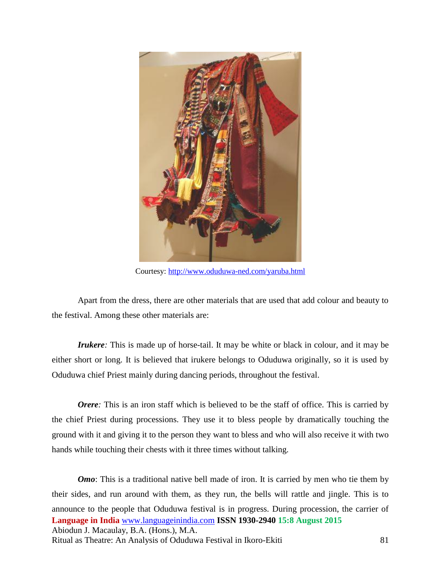

Courtesy:<http://www.oduduwa-ned.com/yaruba.html>

Apart from the dress, there are other materials that are used that add colour and beauty to the festival. Among these other materials are:

*Irukere*: This is made up of horse-tail. It may be white or black in colour, and it may be either short or long. It is believed that irukere belongs to Oduduwa originally, so it is used by Oduduwa chief Priest mainly during dancing periods, throughout the festival.

*Orere*: This is an iron staff which is believed to be the staff of office. This is carried by the chief Priest during processions. They use it to bless people by dramatically touching the ground with it and giving it to the person they want to bless and who will also receive it with two hands while touching their chests with it three times without talking.

**Language in India** [www.languageinindia.com](http://www.languageinindia.com/) **ISSN 1930-2940 15:8 August 2015** Abiodun J. Macaulay, B.A. (Hons.), M.A. Ritual as Theatre: An Analysis of Oduduwa Festival in Ikoro-Ekiti 81 *Omo*: This is a traditional native bell made of iron. It is carried by men who tie them by their sides, and run around with them, as they run, the bells will rattle and jingle. This is to announce to the people that Oduduwa festival is in progress. During procession, the carrier of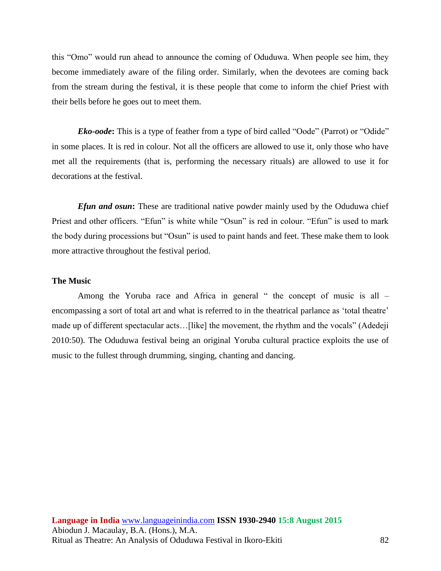this "Omo" would run ahead to announce the coming of Oduduwa. When people see him, they become immediately aware of the filing order. Similarly, when the devotees are coming back from the stream during the festival, it is these people that come to inform the chief Priest with their bells before he goes out to meet them.

*Eko-oode*: This is a type of feather from a type of bird called "Oode" (Parrot) or "Odide" in some places. It is red in colour. Not all the officers are allowed to use it, only those who have met all the requirements (that is, performing the necessary rituals) are allowed to use it for decorations at the festival.

*Efun and osun*: These are traditional native powder mainly used by the Oduduwa chief Priest and other officers. "Efun" is white while "Osun" is red in colour. "Efun" is used to mark the body during processions but "Osun" is used to paint hands and feet. These make them to look more attractive throughout the festival period.

#### **The Music**

Among the Yoruba race and Africa in general " the concept of music is all – encompassing a sort of total art and what is referred to in the theatrical parlance as 'total theatre' made up of different spectacular acts...[like] the movement, the rhythm and the vocals" (Adedeji 2010:50). The Oduduwa festival being an original Yoruba cultural practice exploits the use of music to the fullest through drumming, singing, chanting and dancing.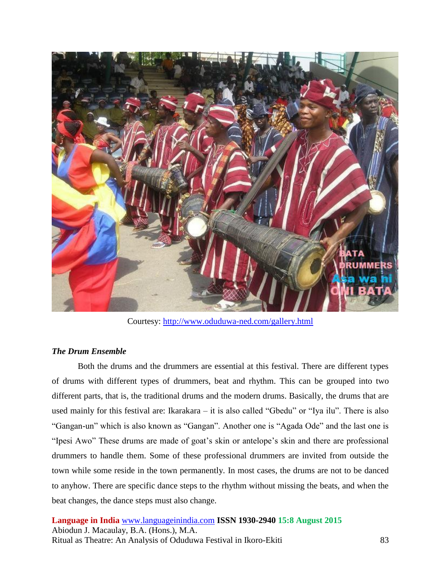

Courtesy:<http://www.oduduwa-ned.com/gallery.html>

## *The Drum Ensemble*

Both the drums and the drummers are essential at this festival. There are different types of drums with different types of drummers, beat and rhythm. This can be grouped into two different parts, that is, the traditional drums and the modern drums. Basically, the drums that are used mainly for this festival are: Ikarakara – it is also called "Gbedu" or "Iya ilu". There is also "Gangan-un" which is also known as "Gangan". Another one is "Agada Ode" and the last one is "Ipesi Awo" These drums are made of goat's skin or antelope's skin and there are professional drummers to handle them. Some of these professional drummers are invited from outside the town while some reside in the town permanently. In most cases, the drums are not to be danced to anyhow. There are specific dance steps to the rhythm without missing the beats, and when the beat changes, the dance steps must also change.

**Language in India** [www.languageinindia.com](http://www.languageinindia.com/) **ISSN 1930-2940 15:8 August 2015** Abiodun J. Macaulay, B.A. (Hons.), M.A. Ritual as Theatre: An Analysis of Oduduwa Festival in Ikoro-Ekiti 83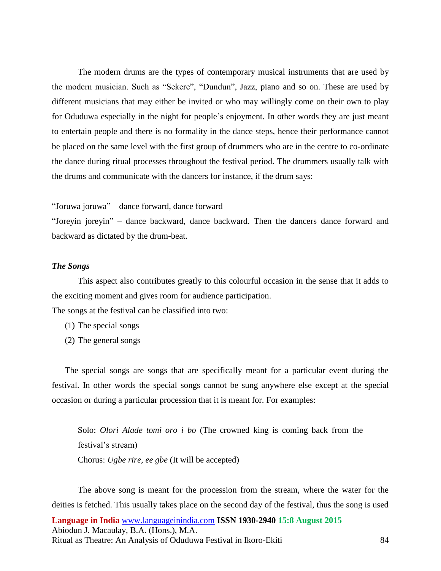The modern drums are the types of contemporary musical instruments that are used by the modern musician. Such as "Sekere", "Dundun", Jazz, piano and so on. These are used by different musicians that may either be invited or who may willingly come on their own to play for Oduduwa especially in the night for people's enjoyment. In other words they are just meant to entertain people and there is no formality in the dance steps, hence their performance cannot be placed on the same level with the first group of drummers who are in the centre to co-ordinate the dance during ritual processes throughout the festival period. The drummers usually talk with the drums and communicate with the dancers for instance, if the drum says:

"Joruwa joruwa" – dance forward, dance forward

"Joreyin joreyin" – dance backward, dance backward. Then the dancers dance forward and backward as dictated by the drum-beat.

#### *The Songs*

This aspect also contributes greatly to this colourful occasion in the sense that it adds to the exciting moment and gives room for audience participation.

The songs at the festival can be classified into two:

- (1) The special songs
- (2) The general songs

The special songs are songs that are specifically meant for a particular event during the festival. In other words the special songs cannot be sung anywhere else except at the special occasion or during a particular procession that it is meant for. For examples:

Solo: *Olori Alade tomi oro i bo* (The crowned king is coming back from the festival's stream) Chorus: *Ugbe rire, ee gbe* (It will be accepted)

**Language in India** [www.languageinindia.com](http://www.languageinindia.com/) **ISSN 1930-2940 15:8 August 2015** Abiodun J. Macaulay, B.A. (Hons.), M.A. Ritual as Theatre: An Analysis of Oduduwa Festival in Ikoro-Ekiti 84 The above song is meant for the procession from the stream, where the water for the deities is fetched. This usually takes place on the second day of the festival, thus the song is used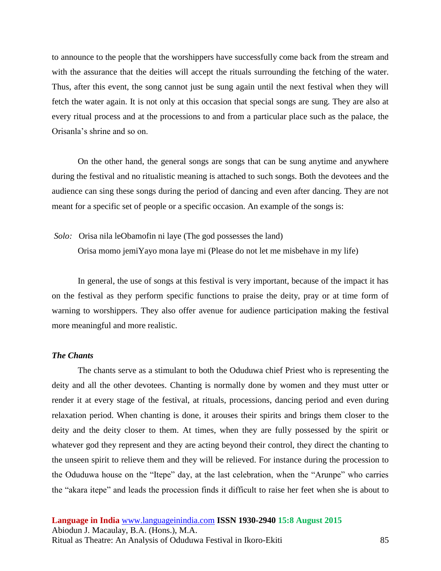to announce to the people that the worshippers have successfully come back from the stream and with the assurance that the deities will accept the rituals surrounding the fetching of the water. Thus, after this event, the song cannot just be sung again until the next festival when they will fetch the water again. It is not only at this occasion that special songs are sung. They are also at every ritual process and at the processions to and from a particular place such as the palace, the Orisanla's shrine and so on.

On the other hand, the general songs are songs that can be sung anytime and anywhere during the festival and no ritualistic meaning is attached to such songs. Both the devotees and the audience can sing these songs during the period of dancing and even after dancing. They are not meant for a specific set of people or a specific occasion. An example of the songs is:

*Solo:* Orisa nila leObamofin ni laye (The god possesses the land)

Orisa momo jemiYayo mona laye mi (Please do not let me misbehave in my life)

In general, the use of songs at this festival is very important, because of the impact it has on the festival as they perform specific functions to praise the deity, pray or at time form of warning to worshippers. They also offer avenue for audience participation making the festival more meaningful and more realistic.

#### *The Chants*

The chants serve as a stimulant to both the Oduduwa chief Priest who is representing the deity and all the other devotees. Chanting is normally done by women and they must utter or render it at every stage of the festival, at rituals, processions, dancing period and even during relaxation period. When chanting is done, it arouses their spirits and brings them closer to the deity and the deity closer to them. At times, when they are fully possessed by the spirit or whatever god they represent and they are acting beyond their control, they direct the chanting to the unseen spirit to relieve them and they will be relieved. For instance during the procession to the Oduduwa house on the "Itepe" day, at the last celebration, when the "Arunpe" who carries the "akara itepe" and leads the procession finds it difficult to raise her feet when she is about to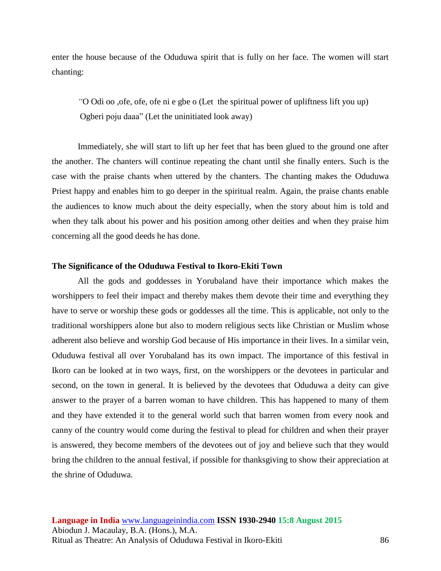enter the house because of the Oduduwa spirit that is fully on her face. The women will start chanting:

*"*O Odi oo ,ofe, ofe, ofe ni e gbe o (Let the spiritual power of upliftness lift you up) Ogberi poju daaa" (Let the uninitiated look away)

Immediately, she will start to lift up her feet that has been glued to the ground one after the another. The chanters will continue repeating the chant until she finally enters. Such is the case with the praise chants when uttered by the chanters. The chanting makes the Oduduwa Priest happy and enables him to go deeper in the spiritual realm. Again, the praise chants enable the audiences to know much about the deity especially, when the story about him is told and when they talk about his power and his position among other deities and when they praise him concerning all the good deeds he has done.

#### **The Significance of the Oduduwa Festival to Ikoro-Ekiti Town**

All the gods and goddesses in Yorubaland have their importance which makes the worshippers to feel their impact and thereby makes them devote their time and everything they have to serve or worship these gods or goddesses all the time. This is applicable, not only to the traditional worshippers alone but also to modern religious sects like Christian or Muslim whose adherent also believe and worship God because of His importance in their lives. In a similar vein, Oduduwa festival all over Yorubaland has its own impact. The importance of this festival in Ikoro can be looked at in two ways, first, on the worshippers or the devotees in particular and second, on the town in general. It is believed by the devotees that Oduduwa a deity can give answer to the prayer of a barren woman to have children. This has happened to many of them and they have extended it to the general world such that barren women from every nook and canny of the country would come during the festival to plead for children and when their prayer is answered, they become members of the devotees out of joy and believe such that they would bring the children to the annual festival, if possible for thanksgiving to show their appreciation at the shrine of Oduduwa.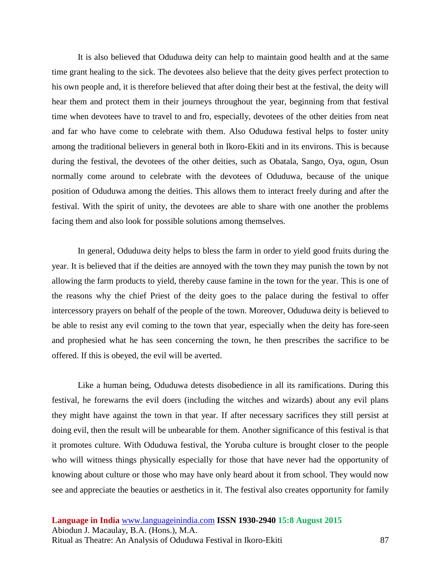It is also believed that Oduduwa deity can help to maintain good health and at the same time grant healing to the sick. The devotees also believe that the deity gives perfect protection to his own people and, it is therefore believed that after doing their best at the festival, the deity will hear them and protect them in their journeys throughout the year, beginning from that festival time when devotees have to travel to and fro, especially, devotees of the other deities from neat and far who have come to celebrate with them. Also Oduduwa festival helps to foster unity among the traditional believers in general both in Ikoro-Ekiti and in its environs. This is because during the festival, the devotees of the other deities, such as Obatala, Sango, Oya, ogun, Osun normally come around to celebrate with the devotees of Oduduwa, because of the unique position of Oduduwa among the deities. This allows them to interact freely during and after the festival. With the spirit of unity, the devotees are able to share with one another the problems facing them and also look for possible solutions among themselves.

In general, Oduduwa deity helps to bless the farm in order to yield good fruits during the year. It is believed that if the deities are annoyed with the town they may punish the town by not allowing the farm products to yield, thereby cause famine in the town for the year. This is one of the reasons why the chief Priest of the deity goes to the palace during the festival to offer intercessory prayers on behalf of the people of the town. Moreover, Oduduwa deity is believed to be able to resist any evil coming to the town that year, especially when the deity has fore-seen and prophesied what he has seen concerning the town, he then prescribes the sacrifice to be offered. If this is obeyed, the evil will be averted.

Like a human being, Oduduwa detests disobedience in all its ramifications. During this festival, he forewarns the evil doers (including the witches and wizards) about any evil plans they might have against the town in that year. If after necessary sacrifices they still persist at doing evil, then the result will be unbearable for them. Another significance of this festival is that it promotes culture. With Oduduwa festival, the Yoruba culture is brought closer to the people who will witness things physically especially for those that have never had the opportunity of knowing about culture or those who may have only heard about it from school. They would now see and appreciate the beauties or aesthetics in it. The festival also creates opportunity for family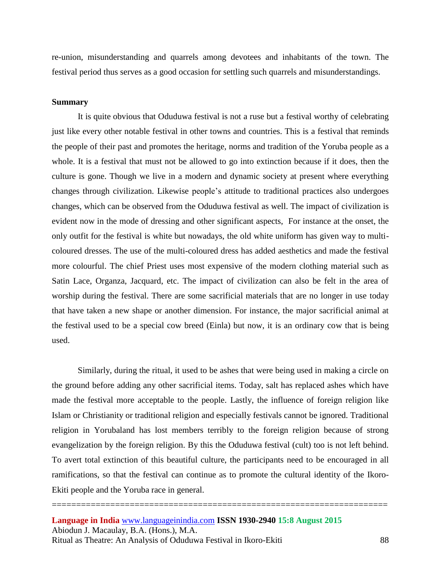re-union, misunderstanding and quarrels among devotees and inhabitants of the town. The festival period thus serves as a good occasion for settling such quarrels and misunderstandings.

#### **Summary**

It is quite obvious that Oduduwa festival is not a ruse but a festival worthy of celebrating just like every other notable festival in other towns and countries. This is a festival that reminds the people of their past and promotes the heritage, norms and tradition of the Yoruba people as a whole. It is a festival that must not be allowed to go into extinction because if it does, then the culture is gone. Though we live in a modern and dynamic society at present where everything changes through civilization. Likewise people's attitude to traditional practices also undergoes changes, which can be observed from the Oduduwa festival as well. The impact of civilization is evident now in the mode of dressing and other significant aspects, For instance at the onset, the only outfit for the festival is white but nowadays, the old white uniform has given way to multicoloured dresses. The use of the multi-coloured dress has added aesthetics and made the festival more colourful. The chief Priest uses most expensive of the modern clothing material such as Satin Lace, Organza, Jacquard, etc. The impact of civilization can also be felt in the area of worship during the festival. There are some sacrificial materials that are no longer in use today that have taken a new shape or another dimension. For instance, the major sacrificial animal at the festival used to be a special cow breed (Einla) but now, it is an ordinary cow that is being used.

Similarly, during the ritual, it used to be ashes that were being used in making a circle on the ground before adding any other sacrificial items. Today, salt has replaced ashes which have made the festival more acceptable to the people. Lastly, the influence of foreign religion like Islam or Christianity or traditional religion and especially festivals cannot be ignored. Traditional religion in Yorubaland has lost members terribly to the foreign religion because of strong evangelization by the foreign religion. By this the Oduduwa festival (cult) too is not left behind. To avert total extinction of this beautiful culture, the participants need to be encouraged in all ramifications, so that the festival can continue as to promote the cultural identity of the Ikoro-Ekiti people and the Yoruba race in general.

=====================================================================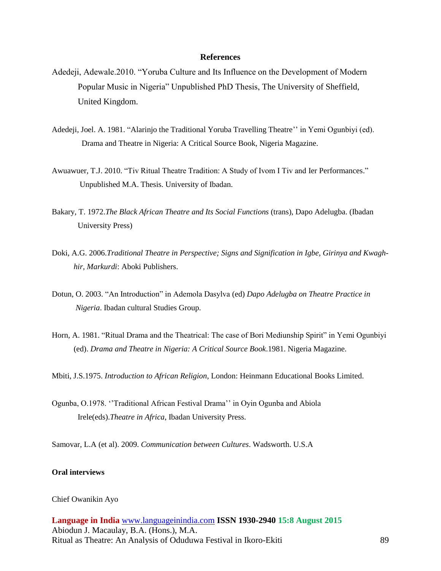#### **References**

- Adedeji, Adewale.2010. "Yoruba Culture and Its Influence on the Development of Modern Popular Music in Nigeria" Unpublished PhD Thesis, The University of Sheffield, United Kingdom.
- Adedeji, Joel. A. 1981. "Alarinjo the Traditional Yoruba Travelling Theatre'' in Yemi Ogunbiyi (ed). Drama and Theatre in Nigeria: A Critical Source Book, Nigeria Magazine.
- Awuawuer, T.J. 2010. "Tiv Ritual Theatre Tradition: A Study of Ivom I Tiv and Ier Performances." Unpublished M.A. Thesis. University of Ibadan.
- Bakary, T. 1972.*The Black African Theatre and Its Social Functions* (trans), Dapo Adelugba. (Ibadan University Press)
- Doki, A.G. 2006.*Traditional Theatre in Perspective; Signs and Signification in Igbe, Girinya and Kwagh hir, Markurdi*: Aboki Publishers.
- Dotun, O. 2003. "An Introduction" in Ademola Dasylva (ed) *Dapo Adelugba on Theatre Practice in Nigeria*. Ibadan cultural Studies Group.
- Horn, A. 1981. "Ritual Drama and the Theatrical: The case of Bori Mediunship Spirit" in Yemi Ogunbiyi (ed). *Drama and Theatre in Nigeria: A Critical Source Book*.1981. Nigeria Magazine.

Mbiti, J.S.1975. *Introduction to African Religion*, London: Heinmann Educational Books Limited.

Ogunba, O.1978. ''Traditional African Festival Drama'' in Oyin Ogunba and Abiola Irele(eds).*Theatre in Africa*, Ibadan University Press.

Samovar, L.A (et al). 2009. *Communication between Cultures*. Wadsworth. U.S.A

#### **Oral interviews**

#### Chief Owanikin Ayo

**Language in India** [www.languageinindia.com](http://www.languageinindia.com/) **ISSN 1930-2940 15:8 August 2015** Abiodun J. Macaulay, B.A. (Hons.), M.A. Ritual as Theatre: An Analysis of Oduduwa Festival in Ikoro-Ekiti 89